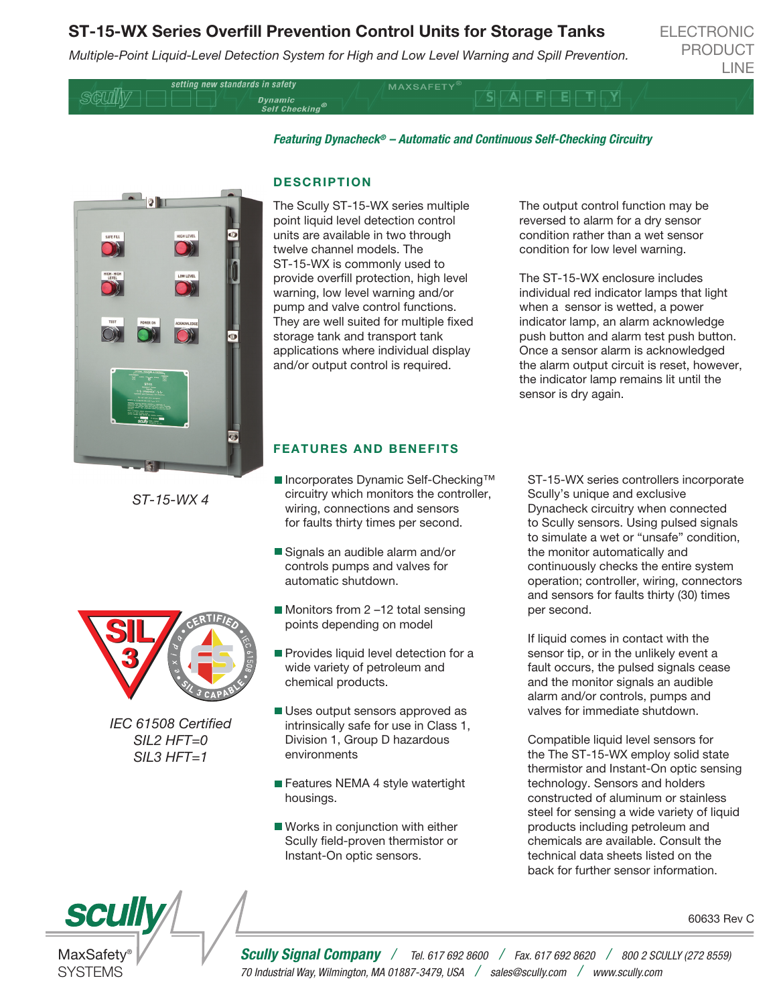## ST-15-WX Series Overfill Prevention Control Units for Storage Tanks

*Multiple-Point Liquid-Level Detection System for High and Low Level Warning and Spill Prevention.*

ELECTRONIC PRODUCT LINE

setting new standards in safety **SGUII**V

**MAXSAFETY** 

SIA FI

*Featuring Dynacheck® – Automatic and Continuous Self-Checking Circuitry* 



*ST-15-WX 4*



*IEC 61508 Certied SIL2 HFT=0 SIL3 HFT=1*

## **DESCRIPTION**

Dynamic<br>Self Checking®

The Scully ST-15-WX series multiple point liquid level detection control units are available in two through twelve channel models. The ST-15-WX is commonly used to provide overfill protection, high level warning, low level warning and/or pump and valve control functions. They are well suited for multiple fixed storage tank and transport tank applications where individual display and/or output control is required.

The output control function may be reversed to alarm for a dry sensor condition rather than a wet sensor condition for low level warning.

The ST-15-WX enclosure includes individual red indicator lamps that light when a sensor is wetted, a power indicator lamp, an alarm acknowledge push button and alarm test push button. Once a sensor alarm is acknowledged the alarm output circuit is reset, however, the indicator lamp remains lit until the sensor is dry again.

## FEATURES AND BENEFITS

- Incorporates Dynamic Self-Checking™ circuitry which monitors the controller, wiring, connections and sensors for faults thirty times per second.
- Signals an audible alarm and/or controls pumps and valves for automatic shutdown.
- Monitors from 2-12 total sensing points depending on model
- Provides liquid level detection for a wide variety of petroleum and chemical products.
- Uses output sensors approved as intrinsically safe for use in Class 1, Division 1, Group D hazardous environments
- Features NEMA 4 style watertight housings.
- Works in conjunction with either Scully field-proven thermistor or Instant-On optic sensors.

ST-15-WX series controllers incorporate Scully's unique and exclusive Dynacheck circuitry when connected to Scully sensors. Using pulsed signals to simulate a wet or "unsafe" condition, the monitor automatically and continuously checks the entire system operation; controller, wiring, connectors and sensors for faults thirty (30) times per second.

If liquid comes in contact with the sensor tip, or in the unlikely event a fault occurs, the pulsed signals cease and the monitor signals an audible alarm and/or controls, pumps and valves for immediate shutdown.

Compatible liquid level sensors for the The ST-15-WX employ solid state thermistor and Instant-On optic sensing technology. Sensors and holders constructed of aluminum or stainless steel for sensing a wide variety of liquid products including petroleum and chemicals are available. Consult the technical data sheets listed on the back for further sensor information.





*Scully Signal Company / Tel. 617 692 8600 / Fax. 617 692 8620 / 800 2 SCULLY (272 8559) 70 Industrial Way, Wilmington, MA 01887-3479, USA / sales@scully.com / www.scully.com*